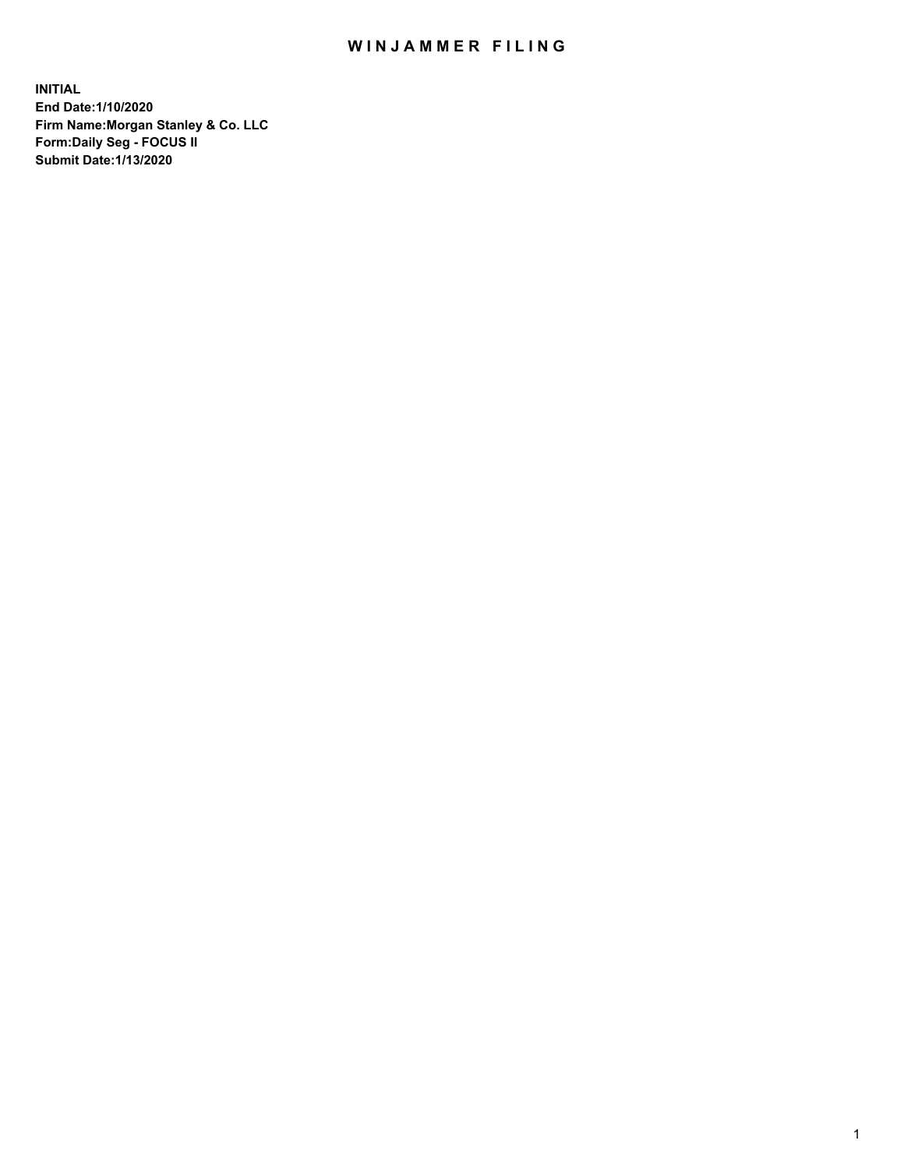## WIN JAMMER FILING

**INITIAL End Date:1/10/2020 Firm Name:Morgan Stanley & Co. LLC Form:Daily Seg - FOCUS II Submit Date:1/13/2020**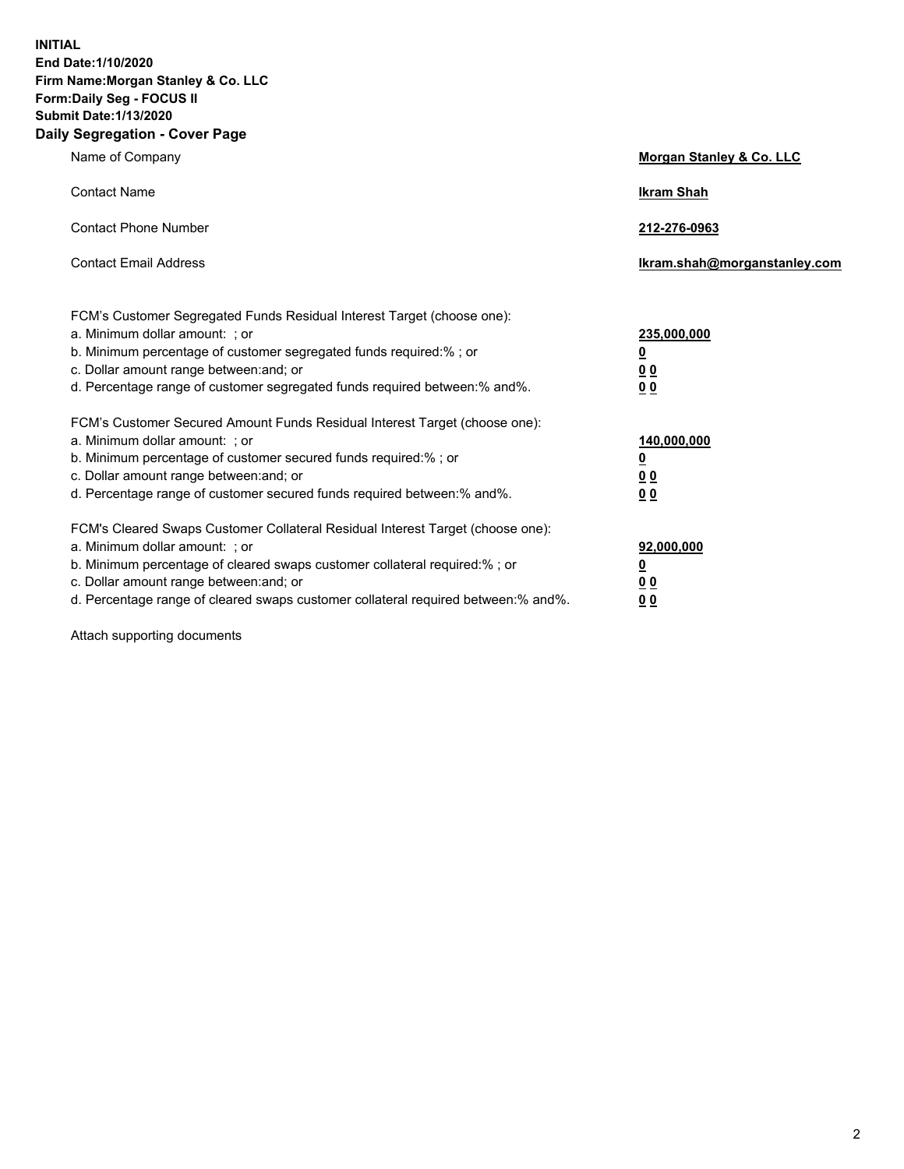**INITIAL End Date:1/10/2020 Firm Name:Morgan Stanley & Co. LLC Form:Daily Seg - FOCUS II Submit Date:1/13/2020 Daily Segregation - Cover Page**

| Name of Company                                                                                                                                                                                                                                                                                                                | Morgan Stanley & Co. LLC                                                     |
|--------------------------------------------------------------------------------------------------------------------------------------------------------------------------------------------------------------------------------------------------------------------------------------------------------------------------------|------------------------------------------------------------------------------|
| <b>Contact Name</b>                                                                                                                                                                                                                                                                                                            | <b>Ikram Shah</b>                                                            |
| <b>Contact Phone Number</b>                                                                                                                                                                                                                                                                                                    | 212-276-0963                                                                 |
| <b>Contact Email Address</b>                                                                                                                                                                                                                                                                                                   | Ikram.shah@morganstanley.com                                                 |
| FCM's Customer Segregated Funds Residual Interest Target (choose one):<br>a. Minimum dollar amount: ; or<br>b. Minimum percentage of customer segregated funds required:%; or<br>c. Dollar amount range between: and; or<br>d. Percentage range of customer segregated funds required between: % and %.                        | 235,000,000<br><u>0</u><br><u>00</u><br>0 Q                                  |
| FCM's Customer Secured Amount Funds Residual Interest Target (choose one):<br>a. Minimum dollar amount: ; or<br>b. Minimum percentage of customer secured funds required:%; or<br>c. Dollar amount range between: and; or<br>d. Percentage range of customer secured funds required between:% and%.                            | 140,000,000<br><u>0</u><br>$\underline{0}$ $\underline{0}$<br>0 <sup>0</sup> |
| FCM's Cleared Swaps Customer Collateral Residual Interest Target (choose one):<br>a. Minimum dollar amount: ; or<br>b. Minimum percentage of cleared swaps customer collateral required:% ; or<br>c. Dollar amount range between: and; or<br>d. Percentage range of cleared swaps customer collateral required between:% and%. | 92,000,000<br><u>0</u><br><u>00</u><br>00                                    |

Attach supporting documents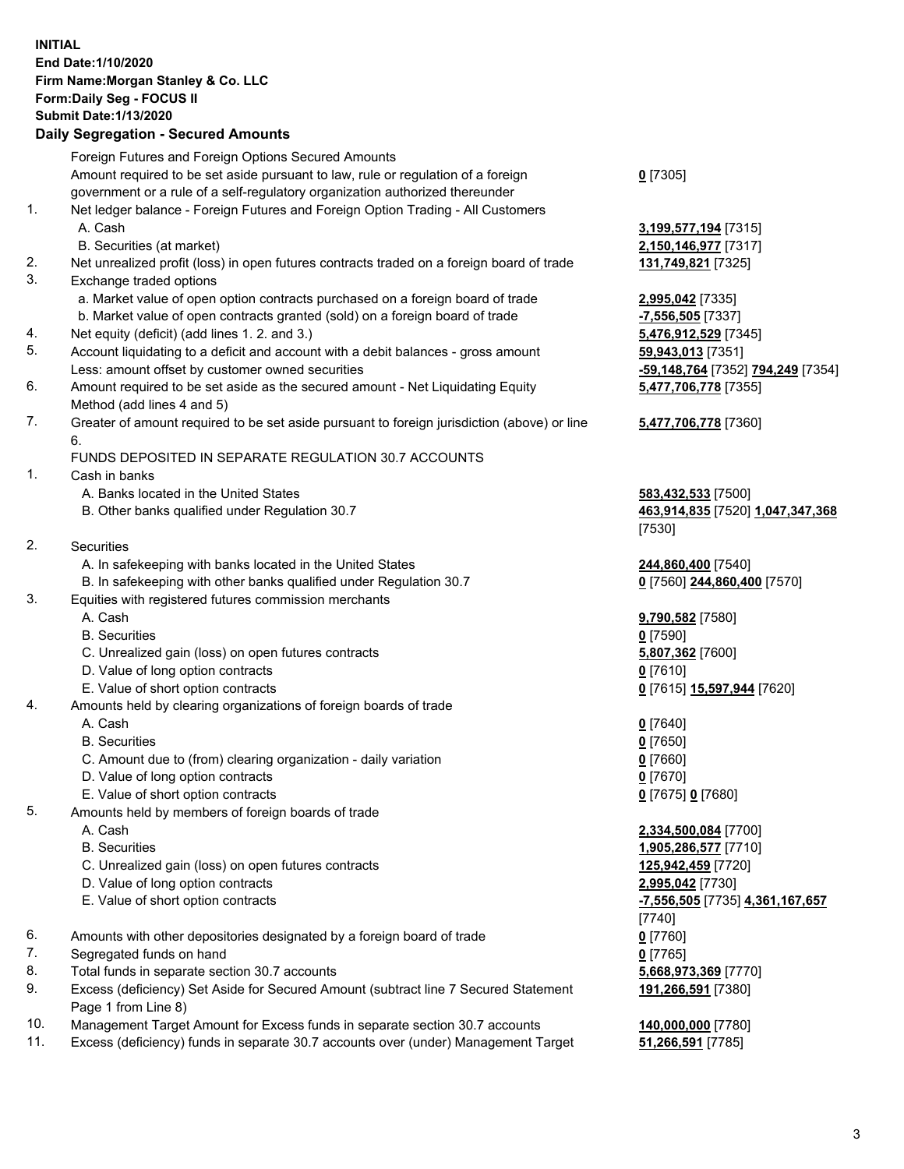## **INITIAL End Date:1/10/2020 Firm Name:Morgan Stanley & Co. LLC Form:Daily Seg - FOCUS II Submit Date:1/13/2020**

## **Daily Segregation - Secured Amounts**

|     | Foreign Futures and Foreign Options Secured Amounts                                         |                                   |
|-----|---------------------------------------------------------------------------------------------|-----------------------------------|
|     | Amount required to be set aside pursuant to law, rule or regulation of a foreign            | $0$ [7305]                        |
|     | government or a rule of a self-regulatory organization authorized thereunder                |                                   |
| 1.  | Net ledger balance - Foreign Futures and Foreign Option Trading - All Customers             |                                   |
|     | A. Cash                                                                                     | 3,199,577,194 [7315]              |
|     | B. Securities (at market)                                                                   | 2,150,146,977 [7317]              |
| 2.  | Net unrealized profit (loss) in open futures contracts traded on a foreign board of trade   | 131,749,821 [7325]                |
| 3.  | Exchange traded options                                                                     |                                   |
|     | a. Market value of open option contracts purchased on a foreign board of trade              | 2,995,042 [7335]                  |
|     | b. Market value of open contracts granted (sold) on a foreign board of trade                | -7,556,505 [7337]                 |
| 4.  | Net equity (deficit) (add lines 1.2. and 3.)                                                | 5,476,912,529 [7345]              |
| 5.  | Account liquidating to a deficit and account with a debit balances - gross amount           | 59,943,013 [7351]                 |
|     | Less: amount offset by customer owned securities                                            | -59,148,764 [7352] 794,249 [7354] |
| 6.  | Amount required to be set aside as the secured amount - Net Liquidating Equity              | 5,477,706,778 [7355]              |
|     | Method (add lines 4 and 5)                                                                  |                                   |
| 7.  | Greater of amount required to be set aside pursuant to foreign jurisdiction (above) or line | 5,477,706,778 [7360]              |
|     | 6.                                                                                          |                                   |
|     | FUNDS DEPOSITED IN SEPARATE REGULATION 30.7 ACCOUNTS                                        |                                   |
| 1.  | Cash in banks                                                                               |                                   |
|     | A. Banks located in the United States                                                       | 583,432,533 [7500]                |
|     | B. Other banks qualified under Regulation 30.7                                              | 463,914,835 [7520] 1,047,347,368  |
|     |                                                                                             | [7530]                            |
| 2.  | Securities                                                                                  |                                   |
|     | A. In safekeeping with banks located in the United States                                   | 244,860,400 [7540]                |
|     | B. In safekeeping with other banks qualified under Regulation 30.7                          | 0 [7560] 244,860,400 [7570]       |
| 3.  | Equities with registered futures commission merchants                                       |                                   |
|     | A. Cash                                                                                     | 9,790,582 [7580]                  |
|     | <b>B.</b> Securities                                                                        | $0$ [7590]                        |
|     |                                                                                             |                                   |
|     | C. Unrealized gain (loss) on open futures contracts                                         | 5,807,362 [7600]                  |
|     | D. Value of long option contracts                                                           | $0$ [7610]                        |
|     | E. Value of short option contracts                                                          | 0 [7615] 15,597,944 [7620]        |
| 4.  | Amounts held by clearing organizations of foreign boards of trade                           |                                   |
|     | A. Cash                                                                                     | $0$ [7640]                        |
|     | <b>B.</b> Securities                                                                        | $0$ [7650]                        |
|     | C. Amount due to (from) clearing organization - daily variation                             | $0$ [7660]                        |
|     | D. Value of long option contracts                                                           | $0$ [7670]                        |
|     | E. Value of short option contracts                                                          | 0 [7675] 0 [7680]                 |
| 5.  | Amounts held by members of foreign boards of trade                                          |                                   |
|     | A. Cash                                                                                     | 2,334,500,084 [7700]              |
|     | <b>B.</b> Securities                                                                        | 1,905,286,577 [7710]              |
|     | C. Unrealized gain (loss) on open futures contracts                                         | 125,942,459 [7720]                |
|     | D. Value of long option contracts                                                           | 2,995,042 [7730]                  |
|     | E. Value of short option contracts                                                          | -7,556,505 [7735] 4,361,167,657   |
|     |                                                                                             | [7740]                            |
| 6.  | Amounts with other depositories designated by a foreign board of trade                      | $0$ [7760]                        |
| 7.  | Segregated funds on hand                                                                    | $0$ [7765]                        |
| 8.  | Total funds in separate section 30.7 accounts                                               | 5,668,973,369 [7770]              |
| 9.  | Excess (deficiency) Set Aside for Secured Amount (subtract line 7 Secured Statement         | 191,266,591 [7380]                |
|     | Page 1 from Line 8)                                                                         |                                   |
| 10. | Management Target Amount for Excess funds in separate section 30.7 accounts                 | 140,000,000 [7780]                |

11. Excess (deficiency) funds in separate 30.7 accounts over (under) Management Target **51,266,591** [7785]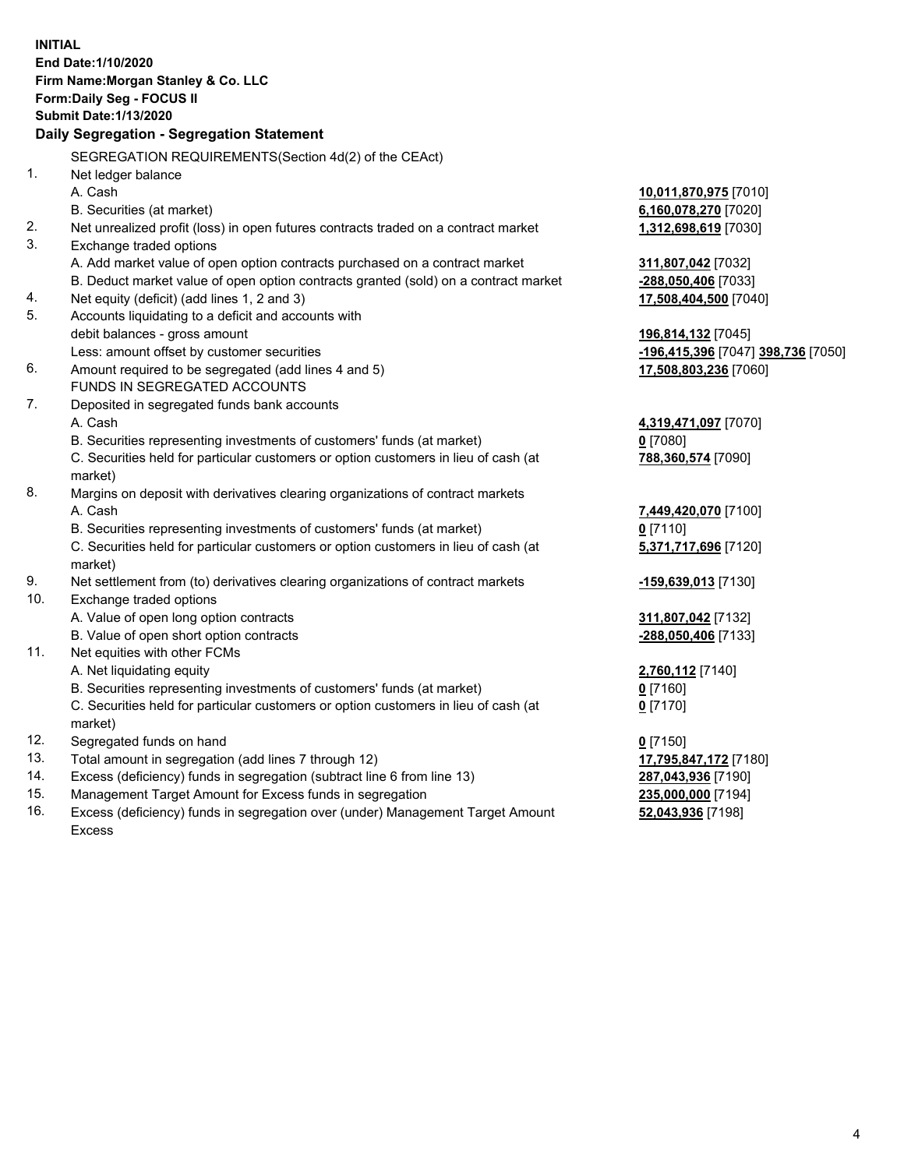|     | <b>INITIAL</b><br>End Date: 1/10/2020<br>Firm Name: Morgan Stanley & Co. LLC<br>Form: Daily Seg - FOCUS II<br><b>Submit Date: 1/13/2020</b> |                                    |
|-----|---------------------------------------------------------------------------------------------------------------------------------------------|------------------------------------|
|     | Daily Segregation - Segregation Statement                                                                                                   |                                    |
|     | SEGREGATION REQUIREMENTS(Section 4d(2) of the CEAct)                                                                                        |                                    |
| 1.  | Net ledger balance                                                                                                                          |                                    |
|     | A. Cash                                                                                                                                     | 10,011,870,975 [7010]              |
|     | B. Securities (at market)                                                                                                                   | 6,160,078,270 [7020]               |
| 2.  | Net unrealized profit (loss) in open futures contracts traded on a contract market                                                          | 1,312,698,619 [7030]               |
| 3.  | Exchange traded options                                                                                                                     |                                    |
|     | A. Add market value of open option contracts purchased on a contract market                                                                 | 311,807,042 [7032]                 |
|     | B. Deduct market value of open option contracts granted (sold) on a contract market                                                         | -288,050,406 [7033]                |
| 4.  | Net equity (deficit) (add lines 1, 2 and 3)                                                                                                 | 17,508,404,500 [7040]              |
| 5.  | Accounts liquidating to a deficit and accounts with                                                                                         |                                    |
|     | debit balances - gross amount                                                                                                               | 196,814,132 [7045]                 |
|     | Less: amount offset by customer securities                                                                                                  | -196,415,396 [7047] 398,736 [7050] |
| 6.  | Amount required to be segregated (add lines 4 and 5)                                                                                        | 17,508,803,236 [7060]              |
|     | FUNDS IN SEGREGATED ACCOUNTS                                                                                                                |                                    |
| 7.  | Deposited in segregated funds bank accounts                                                                                                 |                                    |
|     | A. Cash                                                                                                                                     | 4,319,471,097 [7070]               |
|     | B. Securities representing investments of customers' funds (at market)                                                                      | $0$ [7080]                         |
|     | C. Securities held for particular customers or option customers in lieu of cash (at                                                         | 788,360,574 [7090]                 |
|     | market)                                                                                                                                     |                                    |
| 8.  | Margins on deposit with derivatives clearing organizations of contract markets                                                              |                                    |
|     | A. Cash                                                                                                                                     | 7,449,420,070 [7100]               |
|     | B. Securities representing investments of customers' funds (at market)                                                                      | $0$ [7110]                         |
|     | C. Securities held for particular customers or option customers in lieu of cash (at<br>market)                                              | 5,371,717,696 [7120]               |
| 9.  | Net settlement from (to) derivatives clearing organizations of contract markets                                                             | -159,639,013 [7130]                |
| 10. | Exchange traded options                                                                                                                     |                                    |
|     | A. Value of open long option contracts                                                                                                      | 311,807,042 [7132]                 |
|     | B. Value of open short option contracts                                                                                                     | -288,050,406 [7133]                |
| 11. | Net equities with other FCMs                                                                                                                |                                    |
|     | A. Net liquidating equity                                                                                                                   | 2,760,112 [7140]                   |
|     | B. Securities representing investments of customers' funds (at market)                                                                      | $0$ [7160]                         |
|     | C. Securities held for particular customers or option customers in lieu of cash (at                                                         | $0$ [7170]                         |
|     | market)                                                                                                                                     |                                    |
| 12. | Segregated funds on hand                                                                                                                    | $0$ [7150]                         |
| 13. | Total amount in segregation (add lines 7 through 12)                                                                                        | 17,795,847,172 [7180]              |
| 14. | Excess (deficiency) funds in segregation (subtract line 6 from line 13)                                                                     | 287,043,936 [7190]                 |
| 15. | Management Target Amount for Excess funds in segregation                                                                                    | 235,000,000 [7194]                 |
| 16. | Excess (deficiency) funds in segregation over (under) Management Target Amount                                                              | 52,043,936 [7198]                  |

Excess